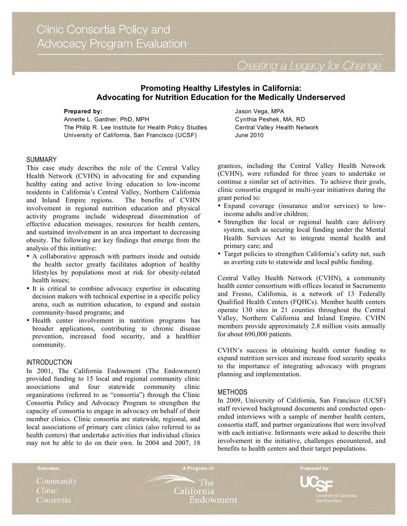Creating a Legacy for Change

# **Promoting Healthy Lifestyles in California: Advocating for Nutrition Education for the Medically Underserved**

#### **Prepared by:**

Annette L. Gardner, PhD, MPH The Philip R. Lee Institute for Health Policy Studies University of California, San Francisco (UCSF)

#### SUMMARY

This case study describes the role of the Central Valley Health Network (CVHN) in advocating for and expanding healthy eating and active living education to low-income residents in California's Central Valley, Northern California and Inland Empire regions. The benefits of CVHN involvement in regional nutrition education and physical activity programs include widespread dissemination of effective education messages, resources for health centers, and sustained involvement in an area important to decreasing obesity. The following are key findings that emerge from the analysis of this initiative:

- A collaborative approach with partners inside and outside the health sector greatly facilitates adoption of healthy lifestyles by populations most at risk for obesity-related health issues;
- It is critical to combine advocacy expertise in educating decision makers with technical expertise in a specific policy arena, such as nutrition education, to expand and sustain community-based programs; and
- Health center involvement in nutrition programs has broader applications, contributing to chronic disease prevention, increased food security, and a healthier community.

#### **INTRODUCTION**

In 2001, The California Endowment (The Endowment) provided funding to 15 local and regional community clinic associations and four statewide community clinic organizations (referred to as "consortia") through the Clinic Consortia Policy and Advocacy Program to strengthen the capacity of consortia to engage in advocacy on behalf of their member clinics. Clinic consortia are statewide, regional, and local associations of primary care clinics (also referred to as health centers) that undertake activities that individual clinics may not be able to do on their own. In 2004 and 2007, 18

Jason Vega, MPA Cynthia Peshek, MA, RD Central Valley Health Network June 2010

grantees, including the Central Valley Health Network (CVHN), were refunded for three years to undertake or continue a similar set of activities. To achieve their goals, clinic consortia engaged in multi-year initiatives during the grant period to:

- Expand coverage (insurance and/or services) to lowincome adults and/or children;
- Strengthen the local or regional health care delivery system, such as securing local funding under the Mental Health Services Act to integrate mental health and primary care; and
- Target policies to strengthen California's safety net, such as averting cuts to statewide and local public funding.

Central Valley Health Network (CVHN), a community health center consortium with offices located in Sacramento and Fresno, California, is a network of 13 Federally Qualified Health Centers (FQHCs). Member health centers operate 130 sites in 21 counties throughout the Central Valley, Northern California and Inland Empire. CVHN members provide approximately 2.8 million visits annually for about 690,000 patients.

CVHN's success in obtaining health center funding to expand nutrition services and increase food security speaks to the importance of integrating advocacy with program planning and implementation.

#### METHODS

In 2009, University of California, San Francisco (UCSF) staff reviewed background documents and conducted openended interviews with a sample of member health centers, consortia staff, and partner organizations that were involved with each initiative. Informants were asked to describe their involvement in the initiative, challenges encountered, and benefits to health centers and their target populations.

Community **Clinic** Consortia

Grantees:

 $\lq$  The California Endowment

A Program of:

Prepared by: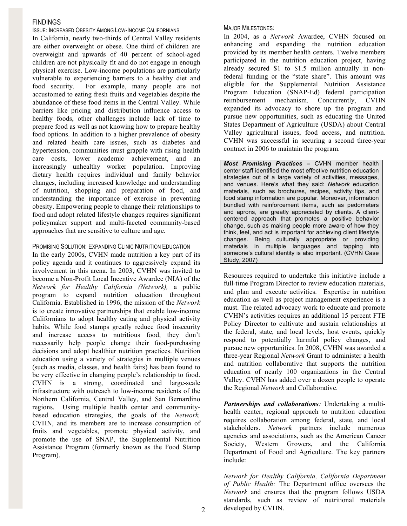### FINDINGS

ISSUE: INCREASED OBESITY AMONG LOW-INCOME CALIFORNIANS In California, nearly two-thirds of Central Valley residents are either overweight or obese. One third of children are overweight and upwards of 40 percent of school-aged children are not physically fit and do not engage in enough physical exercise. Low-income populations are particularly vulnerable to experiencing barriers to a healthy diet and food security. For example, many people are not accustomed to eating fresh fruits and vegetables despite the abundance of these food items in the Central Valley. While barriers like pricing and distribution influence access to healthy foods, other challenges include lack of time to prepare food as well as not knowing how to prepare healthy food options. In addition to a higher prevalence of obesity and related health care issues, such as diabetes and hypertension, communities must grapple with rising health care costs, lower academic achievement, and an increasingly unhealthy worker population. Improving dietary health requires individual and family behavior changes, including increased knowledge and understanding of nutrition, shopping and preparation of food, and understanding the importance of exercise in preventing obesity. Empowering people to change their relationships to food and adopt related lifestyle changes requires significant policymaker support and multi-faceted community-based approaches that are sensitive to culture and age.

#### PROMISING SOLUTION: EXPANDING CLINIC NUTRITION EDUCATION

In the early 2000s, CVHN made nutrition a key part of its policy agenda and it continues to aggressively expand its involvement in this arena. In 2003, CVHN was invited to become a Non-Profit Local Incentive Awardee (NIA) of the *Network for Healthy California (Network),* a public program to expand nutrition education throughout California. Established in 1996, the mission of the *Network* is to create innovative partnerships that enable low-income Californians to adopt healthy eating and physical activity habits. While food stamps greatly reduce food insecurity and increase access to nutritious food, they don't necessarily help people change their food-purchasing decisions and adopt healthier nutrition practices. Nutrition education using a variety of strategies in multiple venues (such as media, classes, and health fairs) has been found to be very effective in changing people's relationship to food. CVHN is a strong, coordinated and large-scale infrastructure with outreach to low-income residents of the Northern California, Central Valley, and San Bernardino regions. Using multiple health center and communitybased education strategies, the goals of the *Network,* CVHN, and its members are to increase consumption of fruits and vegetables, promote physical activity, and promote the use of SNAP, the Supplemental Nutrition Assistance Program (formerly known as the Food Stamp Program).

#### MAJOR MILESTONES:

In 2004, as a *Network* Awardee, CVHN focused on enhancing and expanding the nutrition education provided by its member health centers. Twelve members participated in the nutrition education project, having already secured \$1 to \$1.5 million annually in nonfederal funding or the "state share". This amount was eligible for the Supplemental Nutrition Assistance Program Education (SNAP-Ed) federal participation reimbursement mechanism. Concurrently, CVHN expanded its advocacy to shore up the program and pursue new opportunities, such as educating the United States Department of Agriculture (USDA) about Central Valley agricultural issues, food access, and nutrition. CVHN was successful in securing a second three-year contract in 2006 to maintain the program.

*Most Promising Practices –* CVHN member health center staff identified the most effective nutrition education strategies out of a large variety of activities, messages, and venues. Here's what they said: *Network* education materials, such as brochures, recipes, activity tips, and food stamp information are popular. Moreover, information bundled with reinforcement items, such as pedometers and aprons, are greatly appreciated by clients. A clientcentered approach that promotes a positive behavior change, such as making people more aware of how they think, feel, and act is important for achieving client lifestyle changes. Being culturally appropriate or providing materials in multiple languages and tapping into someone's cultural identity is also important. (CVHN Case Study, 2007)

Resources required to undertake this initiative include a full-time Program Director to review education materials, and plan and execute activities. Expertise in nutrition education as well as project management experience is a must. The related advocacy work to educate and promote CVHN's activities requires an additional 15 percent FTE Policy Director to cultivate and sustain relationships at the federal, state, and local levels, host events, quickly respond to potentially harmful policy changes, and pursue new opportunities. In 2008, CVHN was awarded a three-year Regional *Network* Grant to administer a health and nutrition collaborative that supports the nutrition education of nearly 100 organizations in the Central Valley. CVHN has added over a dozen people to operate the Regional *Network* and Collaborative.

*Partnerships and collaborations:* Undertaking a multihealth center, regional approach to nutrition education requires collaboration among federal, state, and local stakeholders. *Network* partners include numerous agencies and associations, such as the American Cancer Society, Western Growers, and the California Department of Food and Agriculture. The key partners include:

*Network for Healthy California, California Department of Public Health:* The Department office oversees the *Network* and ensures that the program follows USDA standards, such as review of nutritional materials developed by CVHN.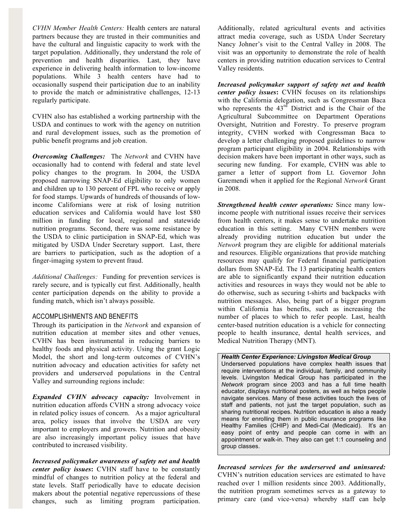*CVHN Member Health Centers:* Health centers are natural partners because they are trusted in their communities and have the cultural and linguistic capacity to work with the target population. Additionally, they understand the role of prevention and health disparities. Last, they have experience in delivering health information to low-income populations. While 3 health centers have had to occasionally suspend their participation due to an inability to provide the match or administrative challenges, 12-13 regularly participate.

CVHN also has established a working partnership with the USDA and continues to work with the agency on nutrition and rural development issues, such as the promotion of public benefit programs and job creation.

*Overcoming Challenges:* The *Network* and CVHN have occasionally had to contend with federal and state level policy changes to the program. In 2004, the USDA proposed narrowing SNAP-Ed eligibility to only women and children up to 130 percent of FPL who receive or apply for food stamps. Upwards of hundreds of thousands of lowincome Californians were at risk of losing nutrition education services and California would have lost \$80 million in funding for local, regional and statewide nutrition programs. Second, there was some resistance by the USDA to clinic participation in SNAP-Ed, which was mitigated by USDA Under Secretary support. Last, there are barriers to participation, such as the adoption of a finger-imaging system to prevent fraud.

*Additional Challenges:* Funding for prevention services is rarely secure, and is typically cut first. Additionally, health center participation depends on the ability to provide a funding match, which isn't always possible.

### ACCOMPLISHMENTS AND BENEFITS

Through its participation in the *Network* and expansion of nutrition education at member sites and other venues, CVHN has been instrumental in reducing barriers to healthy foods and physical activity. Using the grant Logic Model, the short and long-term outcomes of CVHN's nutrition advocacy and education activities for safety net providers and underserved populations in the Central Valley and surrounding regions include:

*Expanded CVHN advocacy capacity:* Involvement in nutrition education affords CVHN a strong advocacy voice in related policy issues of concern. As a major agricultural area, policy issues that involve the USDA are very important to employers and growers. Nutrition and obesity are also increasingly important policy issues that have contributed to increased visibility.

*Increased policymaker awareness of safety net and health center policy issues***:** CVHN staff have to be constantly mindful of changes to nutrition policy at the federal and state levels. Staff periodically have to educate decision makers about the potential negative repercussions of these changes, such as limiting program participation.

Additionally, related agricultural events and activities attract media coverage, such as USDA Under Secretary Nancy Johner's visit to the Central Valley in 2008. The visit was an opportunity to demonstrate the role of health centers in providing nutrition education services to Central Valley residents.

*Increased policymaker support of safety net and health center policy issues***:** CVHN focuses on its relationships with the California delegation, such as Congressman Baca who represents the  $43<sup>rd</sup>$  District and is the Chair of the Agricultural Subcommittee on Department Operations Oversight, Nutrition and Forestry. To preserve program integrity, CVHN worked with Congressman Baca to develop a letter challenging proposed guidelines to narrow program participant eligibility in 2004. Relationships with decision makers have been important in other ways, such as securing new funding. For example, CVHN was able to garner a letter of support from Lt. Governor John Garemendi when it applied for the Regional *Network* Grant in 2008.

*Strengthened health center operations:* Since many lowincome people with nutritional issues receive their services from health centers, it makes sense to undertake nutrition education in this setting. Many CVHN members were already providing nutrition education but under the *Network* program they are eligible for additional materials and resources. Eligible organizations that provide matching resources may qualify for Federal financial participation dollars from SNAP-Ed. The 13 participating health centers are able to significantly expand their nutrition education activities and resources in ways they would not be able to do otherwise, such as securing t-shirts and backpacks with nutrition messages. Also, being part of a bigger program within California has benefits, such as increasing the number of places to which to refer people. Last, health center-based nutrition education is a vehicle for connecting people to health insurance, dental health services, and Medical Nutrition Therapy (MNT).

*Health Center Experience: Livingston Medical Group* Underserved populations have complex health issues that require interventions at the individual, family, and community levels. Livingston Medical Group has participated in the *Network* program since 2003 and has a full time health educator, displays nutritional posters, as well as helps people navigate services. Many of these activities touch the lives of staff and patients, not just the target population, such as sharing nutritional recipes. Nutrition education is also a ready means for enrolling them in public insurance programs like Healthy Families (CHIP) and Medi-Cal (Medicaid). It's an easy point of entry and people can come in with an appointment or walk-in. They also can get 1:1 counseling and group classes.

*Increased services for the underserved and uninsured:* CVHN's nutrition education services are estimated to have reached over 1 million residents since 2003. Additionally, the nutrition program sometimes serves as a gateway to primary care (and vice-versa) whereby staff can help